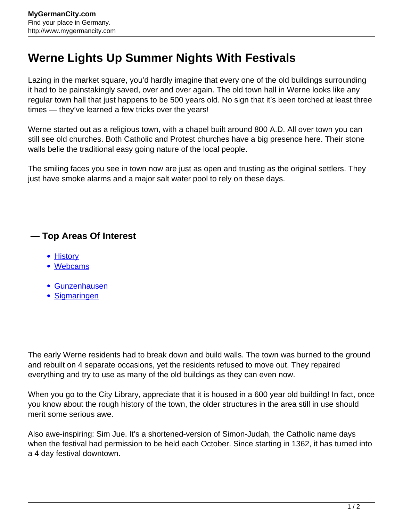## **Werne Lights Up Summer Nights With Festivals**

Lazing in the market square, you'd hardly imagine that every one of the old buildings surrounding it had to be painstakingly saved, over and over again. The old town hall in Werne looks like any regular town hall that just happens to be 500 years old. No sign that it's been torched at least three times — they've learned a few tricks over the years!

Werne started out as a religious town, with a chapel built around 800 A.D. All over town you can still see old churches. Both Catholic and Protest churches have a big presence here. Their stone walls belie the traditional easy going nature of the local people.

The smiling faces you see in town now are just as open and trusting as the original settlers. They just have smoke alarms and a major salt water pool to rely on these days.

## **— Top Areas Of Interest**

- **[History](http://www.mygermancity.com/leipzig-history)**
- [Webcams](http://www.mygermancity.com/neustadt-holstein-webcams)
- [Gunzenhausen](http://www.mygermancity.com/gunzenhausen)
- [Sigmaringen](http://www.mygermancity.com/sigmaringen)

The early Werne residents had to break down and build walls. The town was burned to the ground and rebuilt on 4 separate occasions, yet the residents refused to move out. They repaired everything and try to use as many of the old buildings as they can even now.

When you go to the City Library, appreciate that it is housed in a 600 year old building! In fact, once you know about the rough history of the town, the older structures in the area still in use should merit some serious awe.

Also awe-inspiring: Sim Jue. It's a shortened-version of Simon-Judah, the Catholic name days when the festival had permission to be held each October. Since starting in 1362, it has turned into a 4 day festival downtown.